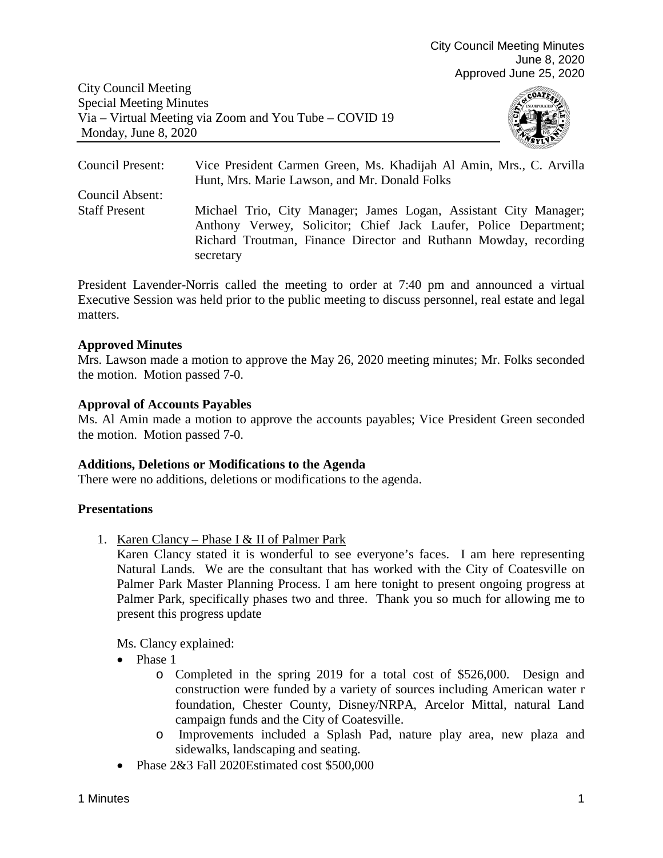City Council Meeting Special Meeting Minutes Via – Virtual Meeting via Zoom and You Tube – COVID 19 Monday, June 8, 2020



Council Present: Vice President Carmen Green, Ms. Khadijah Al Amin, Mrs., C. Arvilla Hunt, Mrs. Marie Lawson, and Mr. Donald Folks Council Absent: Staff Present Michael Trio, City Manager; James Logan, Assistant City Manager; Anthony Verwey, Solicitor; Chief Jack Laufer, Police Department; Richard Troutman, Finance Director and Ruthann Mowday, recording secretary

President Lavender-Norris called the meeting to order at 7:40 pm and announced a virtual Executive Session was held prior to the public meeting to discuss personnel, real estate and legal matters.

#### **Approved Minutes**

Mrs. Lawson made a motion to approve the May 26, 2020 meeting minutes; Mr. Folks seconded the motion. Motion passed 7-0.

#### **Approval of Accounts Payables**

Ms. Al Amin made a motion to approve the accounts payables; Vice President Green seconded the motion. Motion passed 7-0.

#### **Additions, Deletions or Modifications to the Agenda**

There were no additions, deletions or modifications to the agenda.

#### **Presentations**

1. Karen Clancy – Phase I & II of Palmer Park

Karen Clancy stated it is wonderful to see everyone's faces. I am here representing Natural Lands. We are the consultant that has worked with the City of Coatesville on Palmer Park Master Planning Process. I am here tonight to present ongoing progress at Palmer Park, specifically phases two and three. Thank you so much for allowing me to present this progress update

Ms. Clancy explained:

- Phase 1
	- o Completed in the spring 2019 for a total cost of \$526,000. Design and construction were funded by a variety of sources including American water r foundation, Chester County, Disney/NRPA, Arcelor Mittal, natural Land campaign funds and the City of Coatesville.
	- o Improvements included a Splash Pad, nature play area, new plaza and sidewalks, landscaping and seating.
- Phase 2&3 Fall 2020Estimated cost \$500,000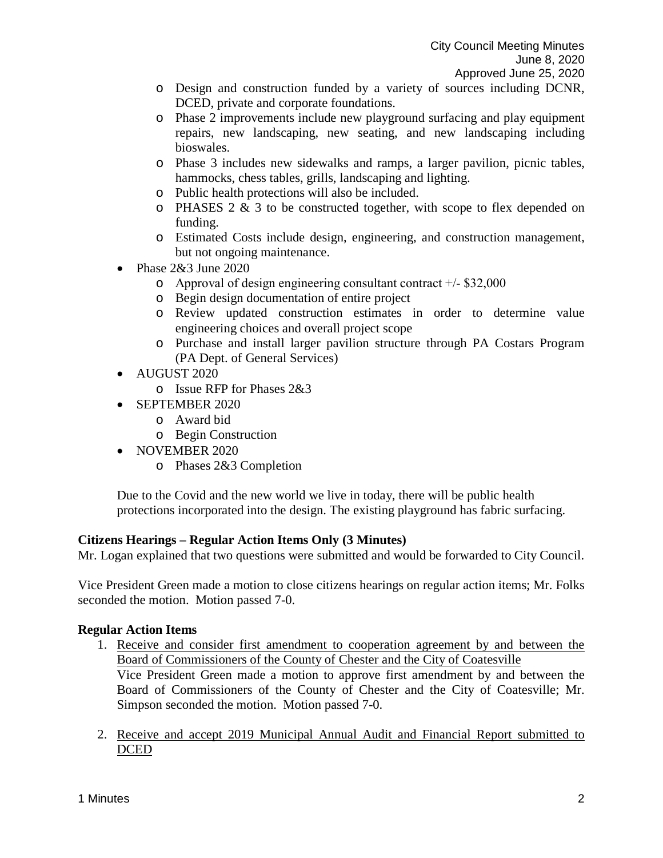- o Design and construction funded by a variety of sources including DCNR, DCED, private and corporate foundations.
- o Phase 2 improvements include new playground surfacing and play equipment repairs, new landscaping, new seating, and new landscaping including bioswales.
- o Phase 3 includes new sidewalks and ramps, a larger pavilion, picnic tables, hammocks, chess tables, grills, landscaping and lighting.
- o Public health protections will also be included.
- $\circ$  PHASES 2 & 3 to be constructed together, with scope to flex depended on funding.
- o Estimated Costs include design, engineering, and construction management, but not ongoing maintenance.
- Phase 2&3 June 2020
	- o Approval of design engineering consultant contract +/‐ \$32,000
	- o Begin design documentation of entire project
	- o Review updated construction estimates in order to determine value engineering choices and overall project scope
	- o Purchase and install larger pavilion structure through PA Costars Program (PA Dept. of General Services)
- AUGUST 2020
	- o Issue RFP for Phases 2&3
- SEPTEMBER 2020
	- o Award bid
	- o Begin Construction
- NOVEMBER 2020
	- o Phases 2&3 Completion

Due to the Covid and the new world we live in today, there will be public health protections incorporated into the design. The existing playground has fabric surfacing.

# **Citizens Hearings – Regular Action Items Only (3 Minutes)**

Mr. Logan explained that two questions were submitted and would be forwarded to City Council.

Vice President Green made a motion to close citizens hearings on regular action items; Mr. Folks seconded the motion. Motion passed 7-0.

# **Regular Action Items**

- 1. Receive and consider first amendment to cooperation agreement by and between the Board of Commissioners of the County of Chester and the City of Coatesville Vice President Green made a motion to approve first amendment by and between the Board of Commissioners of the County of Chester and the City of Coatesville; Mr. Simpson seconded the motion. Motion passed 7-0.
- 2. Receive and accept 2019 Municipal Annual Audit and Financial Report submitted to DCED<sub></sub>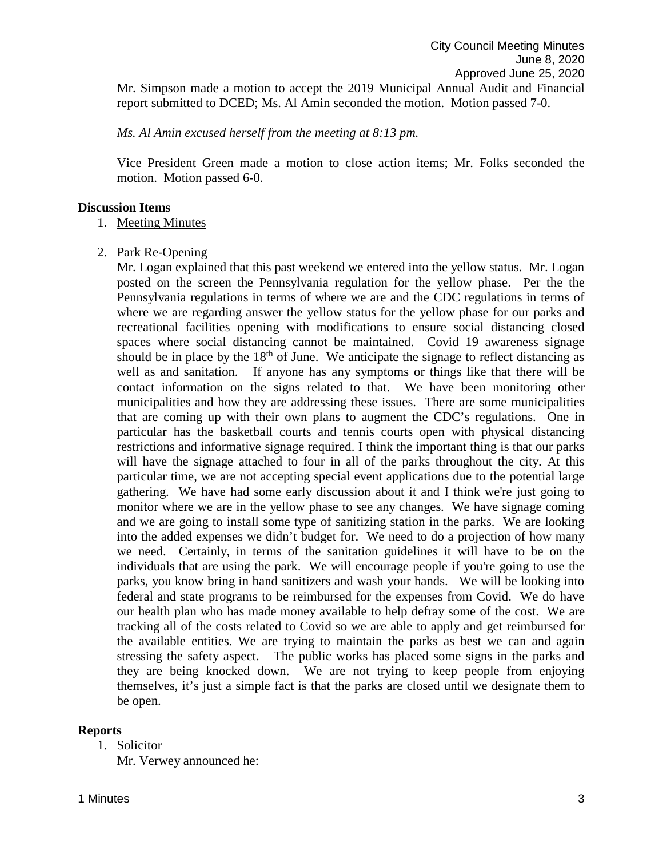*Ms. Al Amin excused herself from the meeting at 8:13 pm.* 

Vice President Green made a motion to close action items; Mr. Folks seconded the motion. Motion passed 6-0.

#### **Discussion Items**

1. Meeting Minutes

2. Park Re-Opening

Mr. Logan explained that this past weekend we entered into the yellow status. Mr. Logan posted on the screen the Pennsylvania regulation for the yellow phase. Per the the Pennsylvania regulations in terms of where we are and the CDC regulations in terms of where we are regarding answer the yellow status for the yellow phase for our parks and recreational facilities opening with modifications to ensure social distancing closed spaces where social distancing cannot be maintained. Covid 19 awareness signage should be in place by the  $18<sup>th</sup>$  of June. We anticipate the signage to reflect distancing as well as and sanitation. If anyone has any symptoms or things like that there will be contact information on the signs related to that. We have been monitoring other municipalities and how they are addressing these issues. There are some municipalities that are coming up with their own plans to augment the CDC's regulations. One in particular has the basketball courts and tennis courts open with physical distancing restrictions and informative signage required. I think the important thing is that our parks will have the signage attached to four in all of the parks throughout the city. At this particular time, we are not accepting special event applications due to the potential large gathering. We have had some early discussion about it and I think we're just going to monitor where we are in the yellow phase to see any changes. We have signage coming and we are going to install some type of sanitizing station in the parks. We are looking into the added expenses we didn't budget for. We need to do a projection of how many we need. Certainly, in terms of the sanitation guidelines it will have to be on the individuals that are using the park. We will encourage people if you're going to use the parks, you know bring in hand sanitizers and wash your hands. We will be looking into federal and state programs to be reimbursed for the expenses from Covid. We do have our health plan who has made money available to help defray some of the cost. We are tracking all of the costs related to Covid so we are able to apply and get reimbursed for the available entities. We are trying to maintain the parks as best we can and again stressing the safety aspect. The public works has placed some signs in the parks and they are being knocked down. We are not trying to keep people from enjoying themselves, it's just a simple fact is that the parks are closed until we designate them to be open.

# **Reports**

1. Solicitor Mr. Verwey announced he: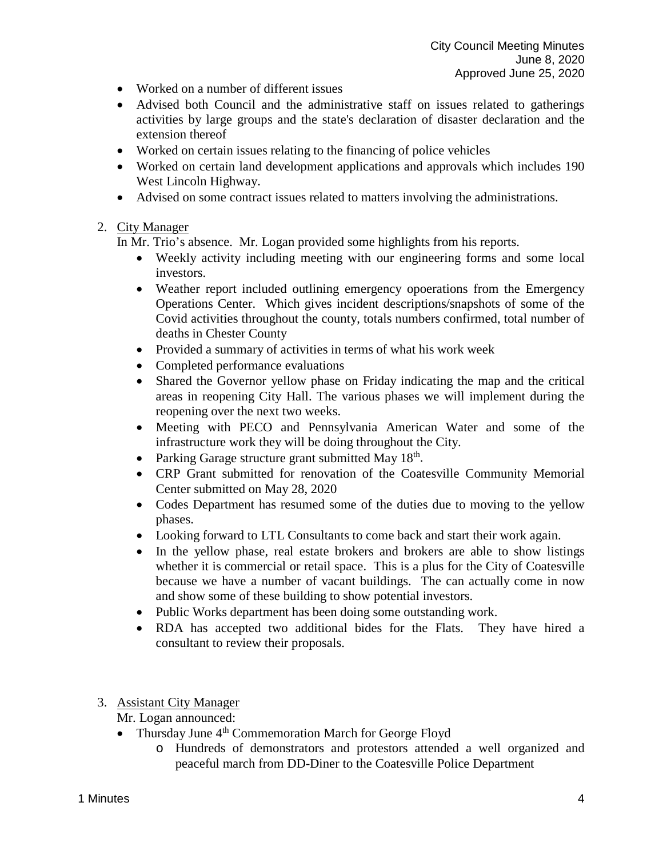- Worked on a number of different issues
- Advised both Council and the administrative staff on issues related to gatherings activities by large groups and the state's declaration of disaster declaration and the extension thereof
- Worked on certain issues relating to the financing of police vehicles
- Worked on certain land development applications and approvals which includes 190 West Lincoln Highway.
- Advised on some contract issues related to matters involving the administrations.

# 2. City Manager

In Mr. Trio's absence. Mr. Logan provided some highlights from his reports.

- Weekly activity including meeting with our engineering forms and some local investors.
- Weather report included outlining emergency opoerations from the Emergency Operations Center. Which gives incident descriptions/snapshots of some of the Covid activities throughout the county, totals numbers confirmed, total number of deaths in Chester County
- Provided a summary of activities in terms of what his work week
- Completed performance evaluations
- Shared the Governor yellow phase on Friday indicating the map and the critical areas in reopening City Hall. The various phases we will implement during the reopening over the next two weeks.
- Meeting with PECO and Pennsylvania American Water and some of the infrastructure work they will be doing throughout the City.
- Parking Garage structure grant submitted May  $18<sup>th</sup>$ .
- CRP Grant submitted for renovation of the Coatesville Community Memorial Center submitted on May 28, 2020
- Codes Department has resumed some of the duties due to moving to the yellow phases.
- Looking forward to LTL Consultants to come back and start their work again.
- In the yellow phase, real estate brokers and brokers are able to show listings whether it is commercial or retail space. This is a plus for the City of Coatesville because we have a number of vacant buildings. The can actually come in now and show some of these building to show potential investors.
- Public Works department has been doing some outstanding work.
- RDA has accepted two additional bides for the Flats. They have hired a consultant to review their proposals.

# 3. Assistant City Manager

# Mr. Logan announced:

- Thursday June  $4<sup>th</sup>$  Commemoration March for George Floyd
	- o Hundreds of demonstrators and protestors attended a well organized and peaceful march from DD-Diner to the Coatesville Police Department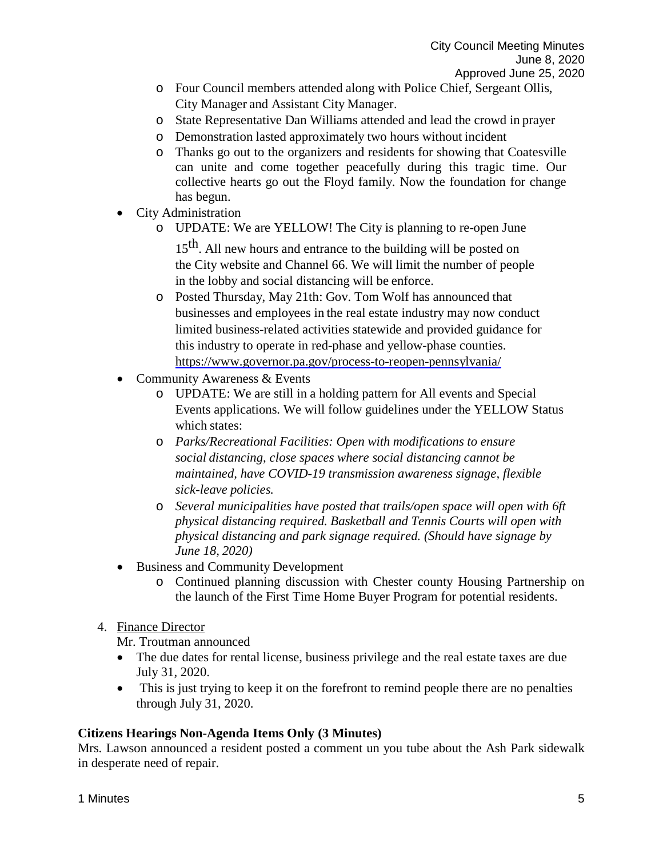- o Four Council members attended along with Police Chief, Sergeant Ollis, City Manager and Assistant City Manager.
- o State Representative Dan Williams attended and lead the crowd in prayer
- o Demonstration lasted approximately two hours without incident
- o Thanks go out to the organizers and residents for showing that Coatesville can unite and come together peacefully during this tragic time. Our collective hearts go out the Floyd family. Now the foundation for change has begun.
- City Administration
	- o UPDATE: We are YELLOW! The City is planning to re-open June 15<sup>th</sup>. All new hours and entrance to the building will be posted on the City website and Channel 66. We will limit the number of people in the lobby and social distancing will be enforce.
	- o Posted Thursday, May 21th: Gov. Tom Wolf has announced that businesses and employees in the real estate industry may now conduct limited business-related activities statewide and provided guidance for this industry to operate in red-phase and yellow-phase counties. <https://www.governor.pa.gov/process-to-reopen-pennsylvania/>
- Community Awareness & Events
	- o UPDATE: We are still in a holding pattern for All events and Special Events applications. We will follow guidelines under the YELLOW Status which states:
	- o *Parks/Recreational Facilities: Open with modifications to ensure social distancing, close spaces where social distancing cannot be maintained, have COVID-19 transmission awareness signage, flexible sick-leave policies.*
	- o *Several municipalities have posted that trails/open space will open with 6ft physical distancing required. Basketball and Tennis Courts will open with physical distancing and park signage required. (Should have signage by June 18, 2020)*
- Business and Community Development
	- o Continued planning discussion with Chester county Housing Partnership on the launch of the First Time Home Buyer Program for potential residents.
- 4. Finance Director

Mr. Troutman announced

- The due dates for rental license, business privilege and the real estate taxes are due July 31, 2020.
- This is just trying to keep it on the forefront to remind people there are no penalties through July 31, 2020.

# **Citizens Hearings Non-Agenda Items Only (3 Minutes)**

Mrs. Lawson announced a resident posted a comment un you tube about the Ash Park sidewalk in desperate need of repair.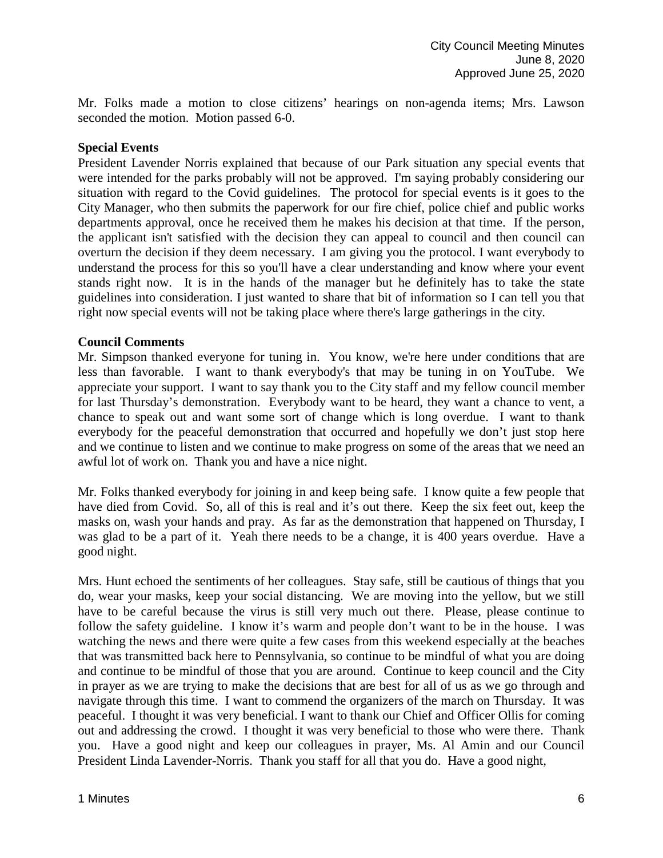Mr. Folks made a motion to close citizens' hearings on non-agenda items; Mrs. Lawson seconded the motion. Motion passed 6-0.

### **Special Events**

President Lavender Norris explained that because of our Park situation any special events that were intended for the parks probably will not be approved. I'm saying probably considering our situation with regard to the Covid guidelines. The protocol for special events is it goes to the City Manager, who then submits the paperwork for our fire chief, police chief and public works departments approval, once he received them he makes his decision at that time. If the person, the applicant isn't satisfied with the decision they can appeal to council and then council can overturn the decision if they deem necessary. I am giving you the protocol. I want everybody to understand the process for this so you'll have a clear understanding and know where your event stands right now. It is in the hands of the manager but he definitely has to take the state guidelines into consideration. I just wanted to share that bit of information so I can tell you that right now special events will not be taking place where there's large gatherings in the city.

#### **Council Comments**

Mr. Simpson thanked everyone for tuning in. You know, we're here under conditions that are less than favorable. I want to thank everybody's that may be tuning in on YouTube. We appreciate your support. I want to say thank you to the City staff and my fellow council member for last Thursday's demonstration. Everybody want to be heard, they want a chance to vent, a chance to speak out and want some sort of change which is long overdue. I want to thank everybody for the peaceful demonstration that occurred and hopefully we don't just stop here and we continue to listen and we continue to make progress on some of the areas that we need an awful lot of work on. Thank you and have a nice night.

Mr. Folks thanked everybody for joining in and keep being safe. I know quite a few people that have died from Covid. So, all of this is real and it's out there. Keep the six feet out, keep the masks on, wash your hands and pray. As far as the demonstration that happened on Thursday, I was glad to be a part of it. Yeah there needs to be a change, it is 400 years overdue. Have a good night.

Mrs. Hunt echoed the sentiments of her colleagues. Stay safe, still be cautious of things that you do, wear your masks, keep your social distancing. We are moving into the yellow, but we still have to be careful because the virus is still very much out there. Please, please continue to follow the safety guideline. I know it's warm and people don't want to be in the house. I was watching the news and there were quite a few cases from this weekend especially at the beaches that was transmitted back here to Pennsylvania, so continue to be mindful of what you are doing and continue to be mindful of those that you are around. Continue to keep council and the City in prayer as we are trying to make the decisions that are best for all of us as we go through and navigate through this time. I want to commend the organizers of the march on Thursday. It was peaceful. I thought it was very beneficial. I want to thank our Chief and Officer Ollis for coming out and addressing the crowd. I thought it was very beneficial to those who were there. Thank you. Have a good night and keep our colleagues in prayer, Ms. Al Amin and our Council President Linda Lavender-Norris. Thank you staff for all that you do. Have a good night,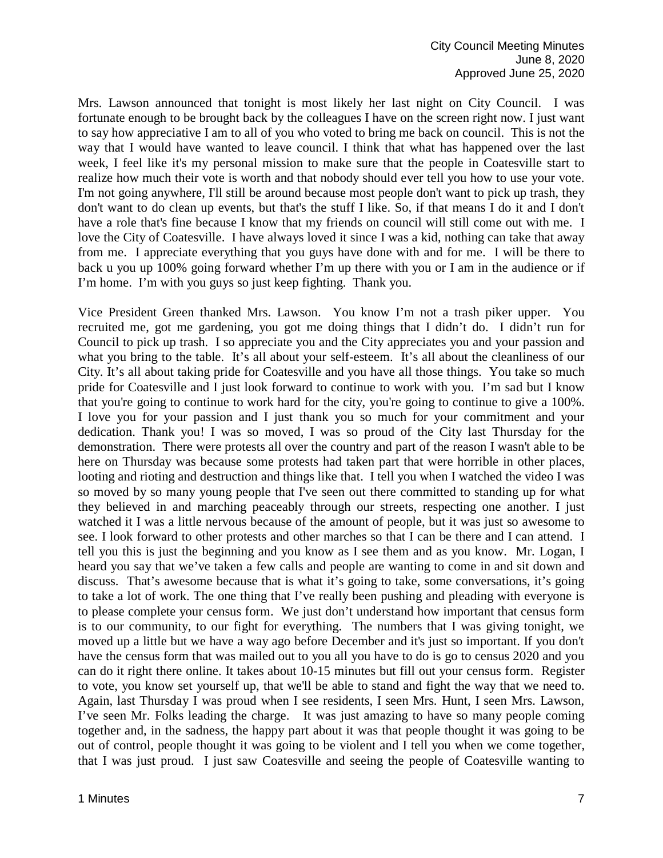Mrs. Lawson announced that tonight is most likely her last night on City Council. I was fortunate enough to be brought back by the colleagues I have on the screen right now. I just want to say how appreciative I am to all of you who voted to bring me back on council. This is not the way that I would have wanted to leave council. I think that what has happened over the last week, I feel like it's my personal mission to make sure that the people in Coatesville start to realize how much their vote is worth and that nobody should ever tell you how to use your vote. I'm not going anywhere, I'll still be around because most people don't want to pick up trash, they don't want to do clean up events, but that's the stuff I like. So, if that means I do it and I don't have a role that's fine because I know that my friends on council will still come out with me. I love the City of Coatesville. I have always loved it since I was a kid, nothing can take that away from me. I appreciate everything that you guys have done with and for me. I will be there to back u you up 100% going forward whether I'm up there with you or I am in the audience or if I'm home. I'm with you guys so just keep fighting. Thank you.

Vice President Green thanked Mrs. Lawson. You know I'm not a trash piker upper. You recruited me, got me gardening, you got me doing things that I didn't do. I didn't run for Council to pick up trash. I so appreciate you and the City appreciates you and your passion and what you bring to the table. It's all about your self-esteem. It's all about the cleanliness of our City. It's all about taking pride for Coatesville and you have all those things. You take so much pride for Coatesville and I just look forward to continue to work with you. I'm sad but I know that you're going to continue to work hard for the city, you're going to continue to give a 100%. I love you for your passion and I just thank you so much for your commitment and your dedication. Thank you! I was so moved, I was so proud of the City last Thursday for the demonstration. There were protests all over the country and part of the reason I wasn't able to be here on Thursday was because some protests had taken part that were horrible in other places, looting and rioting and destruction and things like that. I tell you when I watched the video I was so moved by so many young people that I've seen out there committed to standing up for what they believed in and marching peaceably through our streets, respecting one another. I just watched it I was a little nervous because of the amount of people, but it was just so awesome to see. I look forward to other protests and other marches so that I can be there and I can attend. I tell you this is just the beginning and you know as I see them and as you know. Mr. Logan, I heard you say that we've taken a few calls and people are wanting to come in and sit down and discuss. That's awesome because that is what it's going to take, some conversations, it's going to take a lot of work. The one thing that I've really been pushing and pleading with everyone is to please complete your census form. We just don't understand how important that census form is to our community, to our fight for everything. The numbers that I was giving tonight, we moved up a little but we have a way ago before December and it's just so important. If you don't have the census form that was mailed out to you all you have to do is go to census 2020 and you can do it right there online. It takes about 10-15 minutes but fill out your census form. Register to vote, you know set yourself up, that we'll be able to stand and fight the way that we need to. Again, last Thursday I was proud when I see residents, I seen Mrs. Hunt, I seen Mrs. Lawson, I've seen Mr. Folks leading the charge. It was just amazing to have so many people coming together and, in the sadness, the happy part about it was that people thought it was going to be out of control, people thought it was going to be violent and I tell you when we come together, that I was just proud. I just saw Coatesville and seeing the people of Coatesville wanting to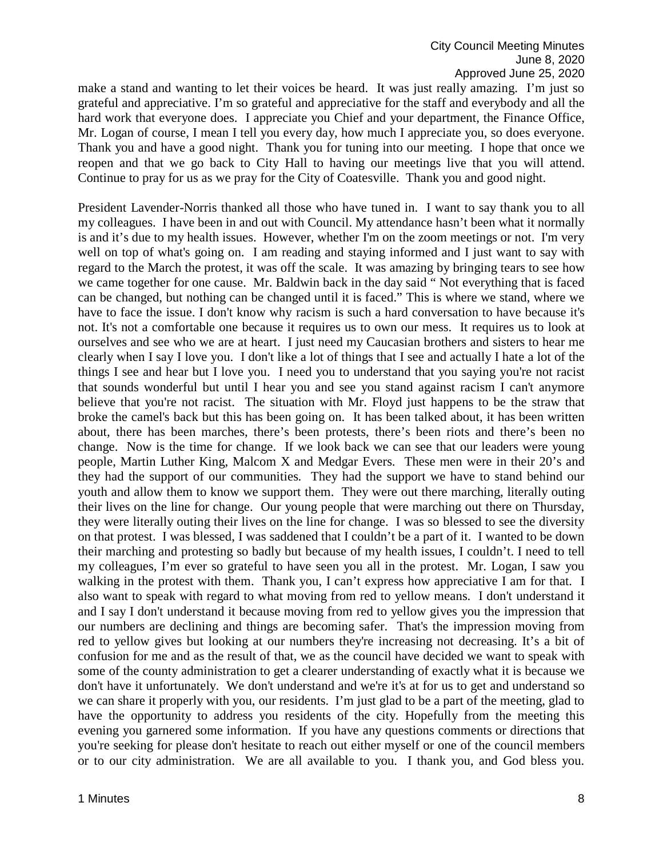make a stand and wanting to let their voices be heard. It was just really amazing. I'm just so grateful and appreciative. I'm so grateful and appreciative for the staff and everybody and all the hard work that everyone does. I appreciate you Chief and your department, the Finance Office, Mr. Logan of course, I mean I tell you every day, how much I appreciate you, so does everyone. Thank you and have a good night. Thank you for tuning into our meeting. I hope that once we reopen and that we go back to City Hall to having our meetings live that you will attend. Continue to pray for us as we pray for the City of Coatesville. Thank you and good night.

President Lavender-Norris thanked all those who have tuned in. I want to say thank you to all my colleagues. I have been in and out with Council. My attendance hasn't been what it normally is and it's due to my health issues. However, whether I'm on the zoom meetings or not. I'm very well on top of what's going on. I am reading and staying informed and I just want to say with regard to the March the protest, it was off the scale. It was amazing by bringing tears to see how we came together for one cause. Mr. Baldwin back in the day said " Not everything that is faced can be changed, but nothing can be changed until it is faced." This is where we stand, where we have to face the issue. I don't know why racism is such a hard conversation to have because it's not. It's not a comfortable one because it requires us to own our mess. It requires us to look at ourselves and see who we are at heart. I just need my Caucasian brothers and sisters to hear me clearly when I say I love you. I don't like a lot of things that I see and actually I hate a lot of the things I see and hear but I love you. I need you to understand that you saying you're not racist that sounds wonderful but until I hear you and see you stand against racism I can't anymore believe that you're not racist. The situation with Mr. Floyd just happens to be the straw that broke the camel's back but this has been going on. It has been talked about, it has been written about, there has been marches, there's been protests, there's been riots and there's been no change. Now is the time for change. If we look back we can see that our leaders were young people, Martin Luther King, Malcom X and Medgar Evers. These men were in their 20's and they had the support of our communities. They had the support we have to stand behind our youth and allow them to know we support them. They were out there marching, literally outing their lives on the line for change. Our young people that were marching out there on Thursday, they were literally outing their lives on the line for change. I was so blessed to see the diversity on that protest. I was blessed, I was saddened that I couldn't be a part of it. I wanted to be down their marching and protesting so badly but because of my health issues, I couldn't. I need to tell my colleagues, I'm ever so grateful to have seen you all in the protest. Mr. Logan, I saw you walking in the protest with them. Thank you, I can't express how appreciative I am for that. I also want to speak with regard to what moving from red to yellow means. I don't understand it and I say I don't understand it because moving from red to yellow gives you the impression that our numbers are declining and things are becoming safer. That's the impression moving from red to yellow gives but looking at our numbers they're increasing not decreasing. It's a bit of confusion for me and as the result of that, we as the council have decided we want to speak with some of the county administration to get a clearer understanding of exactly what it is because we don't have it unfortunately. We don't understand and we're it's at for us to get and understand so we can share it properly with you, our residents. I'm just glad to be a part of the meeting, glad to have the opportunity to address you residents of the city. Hopefully from the meeting this evening you garnered some information. If you have any questions comments or directions that you're seeking for please don't hesitate to reach out either myself or one of the council members or to our city administration. We are all available to you. I thank you, and God bless you.